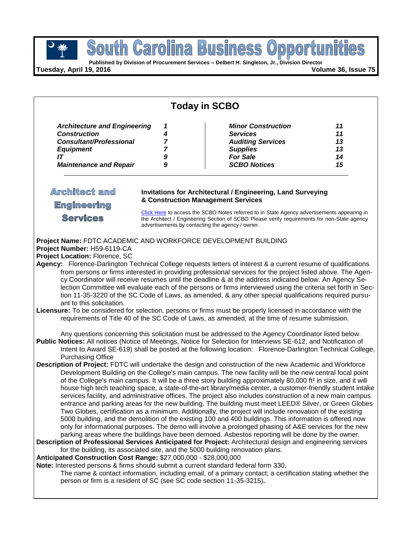**Published by Division of Procurement Services – Delbert H. Singleton, Jr., Division Director**

**Tuesday, April 19, 2016 Volume 36, Issue 75**

| <b>Today in SCBO</b>                                                                                                                                                                                                                                                                                                                                                                                                                                                                                                                                                                                                                                                                                                                                                                                                                                                                                                                                                                                                                                                                                                                                                                                                                                                                                                                                                                                                                                                                                                                                                                                                                                                                                                                                                                                                                                                                                                                                                                                                                                   |                                                      |                                                                                                                                       |                                  |
|--------------------------------------------------------------------------------------------------------------------------------------------------------------------------------------------------------------------------------------------------------------------------------------------------------------------------------------------------------------------------------------------------------------------------------------------------------------------------------------------------------------------------------------------------------------------------------------------------------------------------------------------------------------------------------------------------------------------------------------------------------------------------------------------------------------------------------------------------------------------------------------------------------------------------------------------------------------------------------------------------------------------------------------------------------------------------------------------------------------------------------------------------------------------------------------------------------------------------------------------------------------------------------------------------------------------------------------------------------------------------------------------------------------------------------------------------------------------------------------------------------------------------------------------------------------------------------------------------------------------------------------------------------------------------------------------------------------------------------------------------------------------------------------------------------------------------------------------------------------------------------------------------------------------------------------------------------------------------------------------------------------------------------------------------------|------------------------------------------------------|---------------------------------------------------------------------------------------------------------------------------------------|----------------------------------|
| <b>Architecture and Engineering</b><br><b>Construction</b><br><b>Consultant/Professional</b><br><b>Equipment</b><br>IT<br><b>Maintenance and Repair</b>                                                                                                                                                                                                                                                                                                                                                                                                                                                                                                                                                                                                                                                                                                                                                                                                                                                                                                                                                                                                                                                                                                                                                                                                                                                                                                                                                                                                                                                                                                                                                                                                                                                                                                                                                                                                                                                                                                | 1<br>4<br>$\overline{7}$<br>$\overline{7}$<br>9<br>9 | <b>Minor Construction</b><br><b>Services</b><br><b>Auditing Services</b><br><b>Supplies</b><br><b>For Sale</b><br><b>SCBO Notices</b> | 11<br>11<br>13<br>13<br>14<br>15 |
| <b>Architect and</b><br><b>Invitations for Architectural / Engineering, Land Surveying</b><br>& Construction Management Services<br><b>Engineering</b><br>Click Here to access the SCBO Notes referred to in State Agency advertisements appearing in<br><b>Services</b><br>the Architect / Engineering Section of SCBO Please verify requirements for non-State agency<br>advertisements by contacting the agency / owner.                                                                                                                                                                                                                                                                                                                                                                                                                                                                                                                                                                                                                                                                                                                                                                                                                                                                                                                                                                                                                                                                                                                                                                                                                                                                                                                                                                                                                                                                                                                                                                                                                            |                                                      |                                                                                                                                       |                                  |
| Project Name: FDTC ACADEMIC AND WORKFORCE DEVELOPMENT BUILDING<br>Project Number: H59-6119-CA<br>Project Location: Florence, SC<br>Agency: Florence-Darlington Technical College requests letters of interest & a current resume of qualifications<br>from persons or firms interested in providing professional services for the project listed above. The Agen-<br>cy Coordinator will receive resumes until the deadline & at the address indicated below. An Agency Se-<br>lection Committee will evaluate each of the persons or firms interviewed using the criteria set forth in Sec-<br>tion 11-35-3220 of the SC Code of Laws, as amended, & any other special qualifications required pursu-<br>ant to this solicitation.<br>Licensure: To be considered for selection, persons or firms must be properly licensed in accordance with the<br>requirements of Title 40 of the SC Code of Laws, as amended, at the time of resume submission.                                                                                                                                                                                                                                                                                                                                                                                                                                                                                                                                                                                                                                                                                                                                                                                                                                                                                                                                                                                                                                                                                                  |                                                      |                                                                                                                                       |                                  |
| Any questions concerning this solicitation must be addressed to the Agency Coordinator listed below.<br>Public Notices: All notices (Notice of Meetings, Notice for Selection for Interviews SE-612, and Notification of<br>Intent to Award SE-619) shall be posted at the following location: Florence-Darlington Technical College,<br><b>Purchasing Office</b><br>Description of Project: FDTC will undertake the design and construction of the new Academic and Workforce<br>Development Building on the College's main campus. The new facility will be the new central focal point<br>of the College's main campus. It will be a three story building approximately 80,000 ft <sup>2</sup> in size, and it will<br>house high tech teaching space, a state-of-the-art library/media center, a customer-friendly student intake<br>services facility, and administrative offices. The project also includes construction of a new main campus<br>entrance and parking areas for the new building. The building must meet LEED® Silver, or Green Globes<br>Two Globes, certification as a minimum. Additionally, the project will include renovation of the existing<br>5000 building, and the demolition of the existing 100 and 400 buildings. This information is offered now<br>only for informational purposes. The demo will involve a prolonged phasing of A&E services for the new<br>parking areas where the buildings have been demoed. Asbestos reporting will be done by the owner.<br>Description of Professional Services Anticipated for Project: Architectural design and engineering services<br>for the building, its associated site, and the 5000 building renovation plans.<br>Anticipated Construction Cost Range: \$27,000,000 - \$28,000,000<br>Note: Interested persons & firms should submit a current standard federal form 330,<br>The name & contact information, including email, of a primary contact; a certification stating whether the<br>person or firm is a resident of SC (see SC code section 11-35-3215). |                                                      |                                                                                                                                       |                                  |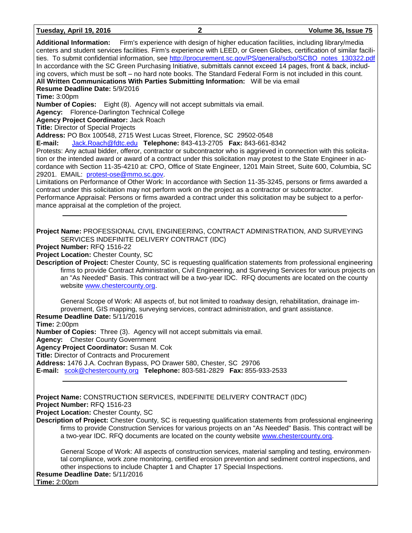**Additional Information:** Firm's experience with design of higher education facilities, including library/media centers and student services facilities. Firm's experience with LEED, or Green Globes, certification of similar facilities. To submit confidential information, see [http://procurement.sc.gov/PS/general/scbo/SCBO\\_notes\\_130322.pdf](http://procurement.sc.gov/PS/general/scbo/SCBO_notes_130322.pdf) In accordance with the SC Green Purchasing Initiative, submittals cannot exceed 14 pages, front & back, including covers, which must be soft – no hard note books. The Standard Federal Form is not included in this count. **All Written Communications With Parties Submitting Information:** Will be via email **Resume Deadline Date:** 5/9/2016 **Time:** 3:00pm **Number of Copies:** Eight (8). Agency will not accept submittals via email. **Agency:** Florence-Darlington Technical College **Agency Project Coordinator:** Jack Roach **Title:** Director of Special Projects **Address:** PO Box 100548, 2715 West Lucas Street, Florence, SC 29502-0548 **E-mail:** [Jack.Roach@fdtc.edu](mailto:Jack.Roach@fdtc.edu) **Telephone:** 843-413-2705 **Fax:** 843-661-8342 Protests: Any actual bidder, offeror, contractor or subcontractor who is aggrieved in connection with this solicitation or the intended award or award of a contract under this solicitation may protest to the State Engineer in accordance with Section 11-35-4210 at: CPO, Office of State Engineer, 1201 Main Street, Suite 600, Columbia, SC 29201. EMAIL: [protest-ose@mmo.sc.gov.](mailto:protest-ose@mmo.sc.gov) Limitations on Performance of Other Work: In accordance with Section 11-35-3245, persons or firms awarded a contract under this solicitation may not perform work on the project as a contractor or subcontractor. Performance Appraisal: Persons or firms awarded a contract under this solicitation may be subject to a performance appraisal at the completion of the project. **Project Name:** PROFESSIONAL CIVIL ENGINEERING, CONTRACT ADMINISTRATION, AND SURVEYING SERVICES INDEFINITE DELIVERY CONTRACT (IDC) **Project Number:** RFQ 1516-22 **Project Location:** Chester County, SC **Description of Project:** Chester County, SC is requesting qualification statements from professional engineering firms to provide Contract Administration, Civil Engineering, and Surveying Services for various projects on an "As Needed" Basis. This contract will be a two-year IDC. RFQ documents are located on the county website [www.chestercounty.org.](http://www.chestercounty.org/) General Scope of Work: All aspects of, but not limited to roadway design, rehabilitation, drainage improvement, GIS mapping, surveying services, contract administration, and grant assistance. **Resume Deadline Date:** 5/11/2016 **Time:** 2:00pm **Number of Copies:** Three (3). Agency will not accept submittals via email. **Agency:** Chester County Government **Agency Project Coordinator:** Susan M. Cok **Title:** Director of Contracts and Procurement **Address:** 1476 J.A. Cochran Bypass, PO Drawer 580, Chester, SC 29706 **E-mail:** [scok@chestercounty.org](mailto:scok@chestercounty.org) **Telephone:** 803-581-2829 **Fax:** 855-933-2533 **Project Name:** CONSTRUCTION SERVICES, INDEFINITE DELIVERY CONTRACT (IDC) **Project Number:** RFQ 1516-23 **Project Location:** Chester County, SC **Description of Project:** Chester County, SC is requesting qualification statements from professional engineering firms to provide Construction Services for various projects on an "As Needed" Basis. This contract will be a two-year IDC. RFQ documents are located on the county website [www.chestercounty.org.](http://www.chestercounty.org/)

General Scope of Work: All aspects of construction services, material sampling and testing, environmental compliance, work zone monitoring, certified erosion prevention and sediment control inspections, and other inspections to include Chapter 1 and Chapter 17 Special Inspections.

#### **Resume Deadline Date:** 5/11/2016 **Time:** 2:00pm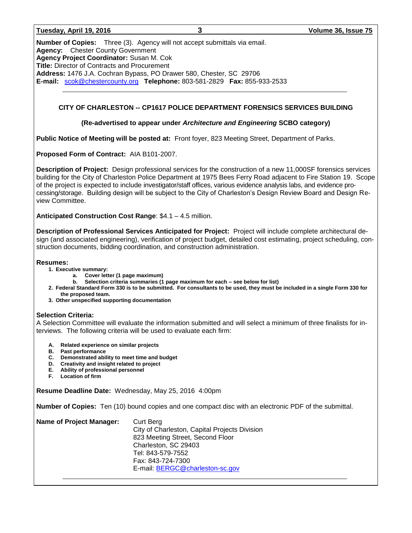| Tuesday, April 19, 2016 |  |  |  |
|-------------------------|--|--|--|
|-------------------------|--|--|--|

**Number of Copies:** Three (3). Agency will not accept submittals via email. **Agency:** Chester County Government **Agency Project Coordinator:** Susan M. Cok **Title:** Director of Contracts and Procurement **Address:** 1476 J.A. Cochran Bypass, PO Drawer 580, Chester, SC 29706 **E-mail:** [scok@chestercounty.org](mailto:scok@chestercounty.org) **Telephone:** 803-581-2829 **Fax:** 855-933-2533

#### **CITY OF CHARLESTON -- CP1617 POLICE DEPARTMENT FORENSICS SERVICES BUILDING**

#### **(Re-advertised to appear under** *Architecture and Engineering* **SCBO category)**

**Public Notice of Meeting will be posted at:** Front foyer, 823 Meeting Street, Department of Parks.

**Proposed Form of Contract:** AIA B101-2007.

**Description of Project:** Design professional services for the construction of a new 11,000SF forensics services building for the City of Charleston Police Department at 1975 Bees Ferry Road adjacent to Fire Station 19. Scope of the project is expected to include investigator/staff offices, various evidence analysis labs, and evidence processing/storage. Building design will be subject to the City of Charleston's Design Review Board and Design Review Committee.

**Anticipated Construction Cost Range**: \$4.1 – 4.5 million.

**Description of Professional Services Anticipated for Project:** Project will include complete architectural design (and associated engineering), verification of project budget, detailed cost estimating, project scheduling, construction documents, bidding coordination, and construction administration.

#### **Resumes:**

- **1. Executive summary:**
	- **a. Cover letter (1 page maximum)**
	- **b. Selection criteria summaries (1 page maximum for each – see below for list)**
- **2. Federal Standard Form 330 is to be submitted. For consultants to be used, they must be included in a single Form 330 for the proposed team.**
- **3. Other unspecified supporting documentation**

#### **Selection Criteria:**

A Selection Committee will evaluate the information submitted and will select a minimum of three finalists for interviews. The following criteria will be used to evaluate each firm:

- **A. Related experience on similar projects**
- **B. Past performance**
- **C. Demonstrated ability to meet time and budget**
- **D. Creativity and insight related to project**
- **E. Ability of professional personnel**
- **F. Location of firm**

**Resume Deadline Date:** Wednesday, May 25, 2016 4:00pm

**Number of Copies:** Ten (10) bound copies and one compact disc with an electronic PDF of the submittal.

| City of Charleston, Capital Projects Division |
|-----------------------------------------------|
|                                               |
|                                               |
|                                               |
|                                               |
| E-mail: BERGC@charleston-sc.gov               |
|                                               |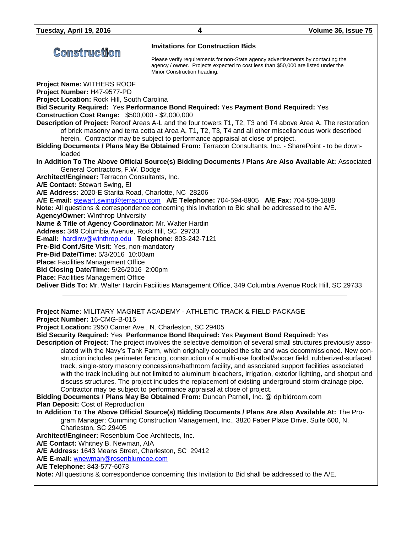|                                                                                                   | <b>Invitations for Construction Bids</b>                                                                                                                         |
|---------------------------------------------------------------------------------------------------|------------------------------------------------------------------------------------------------------------------------------------------------------------------|
| <b>Construction</b>                                                                               | Please verify requirements for non-State agency advertisements by contacting the                                                                                 |
|                                                                                                   | agency / owner. Projects expected to cost less than \$50,000 are listed under the<br>Minor Construction heading.                                                 |
| Project Name: WITHERS ROOF                                                                        |                                                                                                                                                                  |
| Project Number: H47-9577-PD                                                                       |                                                                                                                                                                  |
| Project Location: Rock Hill, South Carolina                                                       |                                                                                                                                                                  |
| <b>Construction Cost Range: \$500,000 - \$2,000,000</b>                                           | Bid Security Required: Yes Performance Bond Required: Yes Payment Bond Required: Yes                                                                             |
|                                                                                                   | Description of Project: Reroof Areas A-L and the four towers T1, T2, T3 and T4 above Area A. The restoration                                                     |
|                                                                                                   | of brick masonry and terra cotta at Area A, T1, T2, T3, T4 and all other miscellaneous work described                                                            |
|                                                                                                   | herein. Contractor may be subject to performance appraisal at close of project.                                                                                  |
| loaded                                                                                            | Bidding Documents / Plans May Be Obtained From: Terracon Consultants, Inc. - SharePoint - to be down-                                                            |
|                                                                                                   | In Addition To The Above Official Source(s) Bidding Documents / Plans Are Also Available At: Associated                                                          |
| General Contractors, F.W. Dodge                                                                   |                                                                                                                                                                  |
| Architect/Engineer: Terracon Consultants, Inc.                                                    |                                                                                                                                                                  |
| A/E Contact: Stewart Swing, El                                                                    |                                                                                                                                                                  |
| A/E Address: 2020-E Starita Road, Charlotte, NC 28206                                             |                                                                                                                                                                  |
|                                                                                                   | A/E E-mail: stewart.swing@terracon.com A/E Telephone: 704-594-8905 A/E Fax: 704-509-1888                                                                         |
|                                                                                                   | Note: All questions & correspondence concerning this Invitation to Bid shall be addressed to the A/E.                                                            |
| <b>Agency/Owner: Winthrop University</b><br>Name & Title of Agency Coordinator: Mr. Walter Hardin |                                                                                                                                                                  |
| Address: 349 Columbia Avenue, Rock Hill, SC 29733                                                 |                                                                                                                                                                  |
| E-mail: hardinw@winthrop.edu Telephone: 803-242-7121                                              |                                                                                                                                                                  |
| Pre-Bid Conf./Site Visit: Yes, non-mandatory                                                      |                                                                                                                                                                  |
| Pre-Bid Date/Time: 5/3/2016 10:00am                                                               |                                                                                                                                                                  |
| <b>Place: Facilities Management Office</b>                                                        |                                                                                                                                                                  |
| Bid Closing Date/Time: 5/26/2016 2:00pm                                                           |                                                                                                                                                                  |
| <b>Place: Facilities Management Office</b>                                                        |                                                                                                                                                                  |
|                                                                                                   | Deliver Bids To: Mr. Walter Hardin Facilities Management Office, 349 Columbia Avenue Rock Hill, SC 29733                                                         |
|                                                                                                   |                                                                                                                                                                  |
| Project Number: 16-CMG-B-015                                                                      | Project Name: MILITARY MAGNET ACADEMY - ATHLETIC TRACK & FIELD PACKAGE                                                                                           |
| Project Location: 2950 Carner Ave., N. Charleston, SC 29405                                       |                                                                                                                                                                  |
|                                                                                                   | Bid Security Required: Yes Performance Bond Required: Yes Payment Bond Required: Yes                                                                             |
|                                                                                                   | Description of Project: The project involves the selective demolition of several small structures previously asso-                                               |
|                                                                                                   | ciated with the Navy's Tank Farm, which originally occupied the site and was decommissioned. New con-                                                            |
|                                                                                                   | struction includes perimeter fencing, construction of a multi-use football/soccer field, rubberized-surfaced                                                     |
|                                                                                                   | track, single-story masonry concessions/bathroom facility, and associated support facilities associated                                                          |
|                                                                                                   | with the track including but not limited to aluminum bleachers, irrigation, exterior lighting, and shotput and                                                   |
|                                                                                                   | discuss structures. The project includes the replacement of existing underground storm drainage pipe.                                                            |
|                                                                                                   | Contractor may be subject to performance appraisal at close of project.<br>Bidding Documents / Plans May Be Obtained From: Duncan Parnell, Inc. @ dpibidroom.com |
| Plan Deposit: Cost of Reproduction                                                                |                                                                                                                                                                  |
|                                                                                                   | In Addition To The Above Official Source(s) Bidding Documents / Plans Are Also Available At: The Pro-                                                            |
|                                                                                                   | gram Manager: Cumming Construction Management, Inc., 3820 Faber Place Drive, Suite 600, N.                                                                       |
| Charleston, SC 29405                                                                              |                                                                                                                                                                  |
| Architect/Engineer: Rosenblum Coe Architects, Inc.                                                |                                                                                                                                                                  |
| A/E Contact: Whitney B. Newman, AIA                                                               |                                                                                                                                                                  |
| A/E Address: 1643 Means Street, Charleston, SC 29412                                              |                                                                                                                                                                  |
| A/E E-mail: wnewman@rosenblumcoe.com                                                              |                                                                                                                                                                  |
| A/E Telephone: 843-577-6073                                                                       | Note: All questions & correspondence concerning this Invitation to Bid shall be addressed to the A/E.                                                            |
|                                                                                                   |                                                                                                                                                                  |
|                                                                                                   |                                                                                                                                                                  |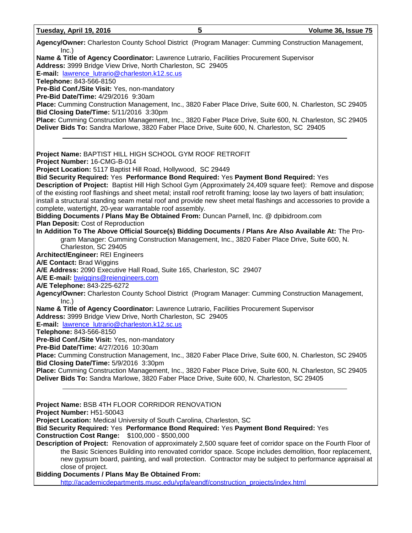| Tuesday, April 19, 2016                                                                                                                                                                                   | 5 | Volume 36, Issue 75                                                                                                                                                                                                             |
|-----------------------------------------------------------------------------------------------------------------------------------------------------------------------------------------------------------|---|---------------------------------------------------------------------------------------------------------------------------------------------------------------------------------------------------------------------------------|
| Agency/Owner: Charleston County School District (Program Manager: Cumming Construction Management,<br>Inc.)                                                                                               |   |                                                                                                                                                                                                                                 |
| Name & Title of Agency Coordinator: Lawrence Lutrario, Facilities Procurement Supervisor<br>Address: 3999 Bridge View Drive, North Charleston, SC 29405                                                   |   |                                                                                                                                                                                                                                 |
| E-mail: lawrence lutrario@charleston.k12.sc.us                                                                                                                                                            |   |                                                                                                                                                                                                                                 |
| Telephone: 843-566-8150<br>Pre-Bid Conf./Site Visit: Yes, non-mandatory                                                                                                                                   |   |                                                                                                                                                                                                                                 |
| Pre-Bid Date/Time: 4/29/2016 9:30am                                                                                                                                                                       |   |                                                                                                                                                                                                                                 |
| Place: Cumming Construction Management, Inc., 3820 Faber Place Drive, Suite 600, N. Charleston, SC 29405                                                                                                  |   |                                                                                                                                                                                                                                 |
| Bid Closing Date/Time: 5/11/2016 3:30pm                                                                                                                                                                   |   |                                                                                                                                                                                                                                 |
| Place: Cumming Construction Management, Inc., 3820 Faber Place Drive, Suite 600, N. Charleston, SC 29405<br>Deliver Bids To: Sandra Marlowe, 3820 Faber Place Drive, Suite 600, N. Charleston, SC 29405   |   |                                                                                                                                                                                                                                 |
| Project Name: BAPTIST HILL HIGH SCHOOL GYM ROOF RETROFIT<br>Project Number: 16-CMG-B-014                                                                                                                  |   |                                                                                                                                                                                                                                 |
| Project Location: 5117 Baptist Hill Road, Hollywood, SC 29449                                                                                                                                             |   |                                                                                                                                                                                                                                 |
| Bid Security Required: Yes Performance Bond Required: Yes Payment Bond Required: Yes                                                                                                                      |   |                                                                                                                                                                                                                                 |
| of the existing roof flashings and sheet metal; install roof retrofit framing; loose lay two layers of batt insulation;<br>complete, watertight, 20-year warrantable roof assembly.                       |   | Description of Project: Baptist Hill High School Gym (Approximately 24,409 square feet): Remove and dispose<br>install a structural standing seam metal roof and provide new sheet metal flashings and accessories to provide a |
| Bidding Documents / Plans May Be Obtained From: Duncan Parnell, Inc. @ dpibidroom.com<br>Plan Deposit: Cost of Reproduction                                                                               |   |                                                                                                                                                                                                                                 |
| In Addition To The Above Official Source(s) Bidding Documents / Plans Are Also Available At: The Pro-<br>Charleston, SC 29405                                                                             |   | gram Manager: Cumming Construction Management, Inc., 3820 Faber Place Drive, Suite 600, N.                                                                                                                                      |
| <b>Architect/Engineer: REI Engineers</b>                                                                                                                                                                  |   |                                                                                                                                                                                                                                 |
| A/E Contact: Brad Wiggins                                                                                                                                                                                 |   |                                                                                                                                                                                                                                 |
| A/E Address: 2090 Executive Hall Road, Suite 165, Charleston, SC 29407                                                                                                                                    |   |                                                                                                                                                                                                                                 |
| A/E E-mail: bwiggins@reiengineers.com                                                                                                                                                                     |   |                                                                                                                                                                                                                                 |
| A/E Telephone: 843-225-6272                                                                                                                                                                               |   |                                                                                                                                                                                                                                 |
| Agency/Owner: Charleston County School District (Program Manager: Cumming Construction Management,<br>Inc.)                                                                                               |   |                                                                                                                                                                                                                                 |
| Name & Title of Agency Coordinator: Lawrence Lutrario, Facilities Procurement Supervisor<br>Address: 3999 Bridge View Drive, North Charleston, SC 29405<br>E-mail: lawrence_lutrario@charleston.k12.sc.us |   |                                                                                                                                                                                                                                 |
| Telephone: 843-566-8150                                                                                                                                                                                   |   |                                                                                                                                                                                                                                 |
| Pre-Bid Conf./Site Visit: Yes, non-mandatory                                                                                                                                                              |   |                                                                                                                                                                                                                                 |
| Pre-Bid Date/Time: 4/27/2016 10:30am                                                                                                                                                                      |   |                                                                                                                                                                                                                                 |
| Place: Cumming Construction Management, Inc., 3820 Faber Place Drive, Suite 600, N. Charleston, SC 29405<br>Bid Closing Date/Time: 5/9/2016 3:30pm                                                        |   |                                                                                                                                                                                                                                 |
| Place: Cumming Construction Management, Inc., 3820 Faber Place Drive, Suite 600, N. Charleston, SC 29405<br>Deliver Bids To: Sandra Marlowe, 3820 Faber Place Drive, Suite 600, N. Charleston, SC 29405   |   |                                                                                                                                                                                                                                 |
| Project Name: BSB 4TH FLOOR CORRIDOR RENOVATION                                                                                                                                                           |   |                                                                                                                                                                                                                                 |
| Project Number: H51-50043<br>Project Location: Medical University of South Carolina, Charleston, SC                                                                                                       |   |                                                                                                                                                                                                                                 |
| Bid Security Required: Yes Performance Bond Required: Yes Payment Bond Required: Yes<br>Construction Cost Range: \$100,000 - \$500,000                                                                    |   |                                                                                                                                                                                                                                 |
|                                                                                                                                                                                                           |   | Description of Project: Renovation of approximately 2,500 square feet of corridor space on the Fourth Floor of                                                                                                                  |
|                                                                                                                                                                                                           |   | the Basic Sciences Building into renovated corridor space. Scope includes demolition, floor replacement,<br>new gypsum board, painting, and wall protection. Contractor may be subject to performance appraisal at              |
| close of project.<br><b>Bidding Documents / Plans May Be Obtained From:</b>                                                                                                                               |   |                                                                                                                                                                                                                                 |
| http://academicdepartments.musc.edu/vpfa/eandf/construction_projects/index.html                                                                                                                           |   |                                                                                                                                                                                                                                 |

[http://academicdepartments.musc.edu/vpfa/eandf/construction\\_projects/index.html](http://academicdepartments.musc.edu/vpfa/eandf/construction_projects/index.html)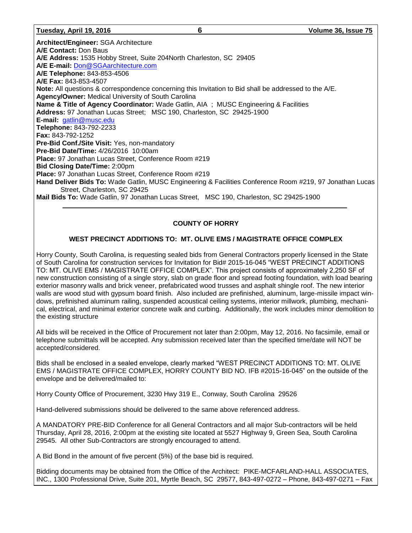**Architect/Engineer:** SGA Architecture **A/E Contact:** Don Baus **A/E Address:** 1535 Hobby Street, Suite 204North Charleston, SC 29405 **A/E E-mail:** [Don@SGAarchitecture.com](mailto:Don@SGAarchitecture.com) **A/E Telephone:** 843-853-4506 **A/E Fax:** 843-853-4507 **Note:** All questions & correspondence concerning this Invitation to Bid shall be addressed to the A/E. **Agency/Owner:** Medical University of South Carolina **Name & Title of Agency Coordinator:** Wade Gatlin, AIA ; MUSC Engineering & Facilities **Address:** 97 Jonathan Lucas Street; MSC 190, Charleston, SC 29425-1900 **E-mail:** [gatlin@musc.edu](mailto:gatlin@musc.edu) **Telephone:** 843-792-2233 **Fax:** 843-792-1252 **Pre-Bid Conf./Site Visit:** Yes, non-mandatory **Pre-Bid Date/Time:** 4/26/2016 10:00am **Place:** 97 Jonathan Lucas Street, Conference Room #219 **Bid Closing Date/Time:** 2:00pm **Place:** 97 Jonathan Lucas Street, Conference Room #219 **Hand Deliver Bids To:** Wade Gatlin, MUSC Engineering & Facilities Conference Room #219, 97 Jonathan Lucas Street, Charleston, SC 29425 **Mail Bids To:** Wade Gatlin, 97 Jonathan Lucas Street, MSC 190, Charleston, SC 29425-1900

### **COUNTY OF HORRY**

#### **WEST PRECINCT ADDITIONS TO: MT. OLIVE EMS / MAGISTRATE OFFICE COMPLEX**

Horry County, South Carolina, is requesting sealed bids from General Contractors properly licensed in the State of South Carolina for construction services for Invitation for Bid# 2015-16-045 "WEST PRECINCT ADDITIONS TO: MT. OLIVE EMS / MAGISTRATE OFFICE COMPLEX". This project consists of approximately 2,250 SF of new construction consisting of a single story, slab on grade floor and spread footing foundation, with load bearing exterior masonry walls and brick veneer, prefabricated wood trusses and asphalt shingle roof. The new interior walls are wood stud with gypsum board finish. Also included are prefinished, aluminum, large-missile impact windows, prefinished aluminum railing, suspended acoustical ceiling systems, interior millwork, plumbing, mechanical, electrical, and minimal exterior concrete walk and curbing. Additionally, the work includes minor demolition to the existing structure

All bids will be received in the Office of Procurement not later than 2:00pm, May 12, 2016. No facsimile, email or telephone submittals will be accepted. Any submission received later than the specified time/date will NOT be accepted/considered.

Bids shall be enclosed in a sealed envelope, clearly marked "WEST PRECINCT ADDITIONS TO: MT. OLIVE EMS / MAGISTRATE OFFICE COMPLEX, HORRY COUNTY BID NO. IFB #2015-16-045" on the outside of the envelope and be delivered/mailed to:

Horry County Office of Procurement, 3230 Hwy 319 E., Conway, South Carolina 29526

Hand-delivered submissions should be delivered to the same above referenced address.

A MANDATORY PRE-BID Conference for all General Contractors and all major Sub-contractors will be held Thursday, April 28, 2016, 2:00pm at the existing site located at 5527 Highway 9, Green Sea, South Carolina 29545. All other Sub-Contractors are strongly encouraged to attend.

A Bid Bond in the amount of five percent (5%) of the base bid is required.

Bidding documents may be obtained from the Office of the Architect: PIKE-MCFARLAND-HALL ASSOCIATES, INC., 1300 Professional Drive, Suite 201, Myrtle Beach, SC 29577, 843-497-0272 – Phone, 843-497-0271 – Fax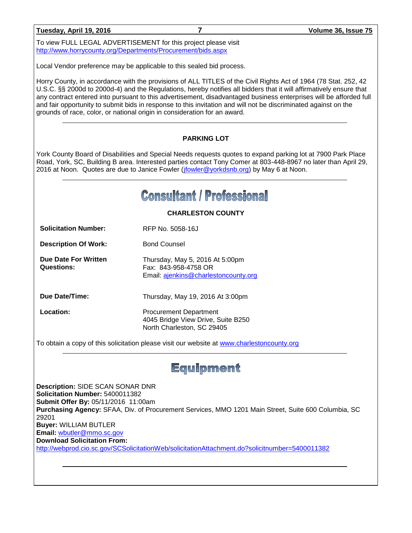To view FULL LEGAL ADVERTISEMENT for this project please visit <http://www.horrycounty.org/Departments/Procurement/bids.aspx>

Local Vendor preference may be applicable to this sealed bid process.

Horry County, in accordance with the provisions of ALL TITLES of the Civil Rights Act of 1964 (78 Stat. 252, 42 U.S.C. §§ 2000d to 2000d-4) and the Regulations, hereby notifies all bidders that it will affirmatively ensure that any contract entered into pursuant to this advertisement, disadvantaged business enterprises will be afforded full and fair opportunity to submit bids in response to this invitation and will not be discriminated against on the grounds of race, color, or national origin in consideration for an award.

#### **PARKING LOT**

York County Board of Disabilities and Special Needs requests quotes to expand parking lot at 7900 Park Place Road, York, SC, Building B area. Interested parties contact Tony Comer at 803-448-8967 no later than April 29, 2016 at Noon. Quotes are due to Janice Fowler [\(jfowler@yorkdsnb.org\)](mailto:jfowler@yorkdsnb.org) by May 6 at Noon.

## **Consultant / Professional**

**CHARLESTON COUNTY**

Thursday, May 5, 2016 At 5:00pm

Fax: 843-958-4758 OR

**Solicitation Number:** RFP No. 5058-16J

**Description Of Work:** Bond Counsel

**Due Date For Written Questions:**

Email: [ajenkins@charlestoncounty.org](mailto:ajenkins@charlestoncounty.org)

**Due Date/Time:** Thursday, May 19, 2016 At 3:00pm

**Location:** Procurement Department 4045 Bridge View Drive, Suite B250 North Charleston, SC 29405

To obtain a copy of this solicitation please visit our website at [www.charlestoncounty.org](http://www.charlestoncounty.org/)

## Equipment

**Description:** SIDE SCAN SONAR DNR **Solicitation Number:** 5400011382 **Submit Offer By:** 05/11/2016 11:00am **Purchasing Agency:** SFAA, Div. of Procurement Services, MMO 1201 Main Street, Suite 600 Columbia, SC 29201 **Buyer:** WILLIAM BUTLER **Email:** [wbutler@mmo.sc.gov](mailto:wbutler@mmo.sc.gov) **Download Solicitation From:**  <http://webprod.cio.sc.gov/SCSolicitationWeb/solicitationAttachment.do?solicitnumber=5400011382>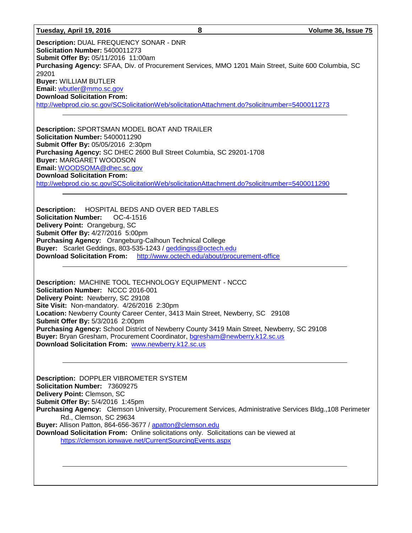#### **Tuesday, April 19, 2016 8 Volume 36, Issue 75**

**Description:** DUAL FREQUENCY SONAR - DNR **Solicitation Number:** 5400011273 **Submit Offer By:** 05/11/2016 11:00am **Purchasing Agency:** SFAA, Div. of Procurement Services, MMO 1201 Main Street, Suite 600 Columbia, SC 29201 **Buyer:** WILLIAM BUTLER **Email:** [wbutler@mmo.sc.gov](mailto:wbutler@mmo.sc.gov) **Download Solicitation From:**  <http://webprod.cio.sc.gov/SCSolicitationWeb/solicitationAttachment.do?solicitnumber=5400011273>

**Description:** SPORTSMAN MODEL BOAT AND TRAILER **Solicitation Number:** 5400011290 **Submit Offer By:** 05/05/2016 2:30pm **Purchasing Agency:** SC DHEC 2600 Bull Street Columbia, SC 29201-1708 **Buyer:** MARGARET WOODSON **Email:** [WOODSOMA@dhec.sc.gov](mailto:WOODSOMA@dhec.sc.gov) **Download Solicitation From:**  <http://webprod.cio.sc.gov/SCSolicitationWeb/solicitationAttachment.do?solicitnumber=5400011290>

**Description:** HOSPITAL BEDS AND OVER BED TABLES **Solicitation Number:** OC-4-1516 **Delivery Point:** Orangeburg, SC **Submit Offer By:** 4/27/2016 5:00pm **Purchasing Agency:** Orangeburg-Calhoun Technical College **Buyer:** Scarlet Geddings, 803-535-1243 / [geddingss@octech.edu](mailto:geddingss@octech.edu) **Download Solicitation From:** <http://www.octech.edu/about/procurement-office>

**Description:** MACHINE TOOL TECHNOLOGY EQUIPMENT - NCCC **Solicitation Number:** NCCC 2016-001 **Delivery Point:** Newberry, SC 29108 **Site Visit:** Non-mandatory. 4/26/2016 2:30pm **Location:** Newberry County Career Center, 3413 Main Street, Newberry, SC 29108 **Submit Offer By:** 5/3/2016 2:00pm **Purchasing Agency:** School District of Newberry County 3419 Main Street, Newberry, SC 29108 **Buyer:** Bryan Gresham, Procurement Coordinator, [bgresham@newberry.k12.sc.us](mailto:bgresham@newberry.k12.sc.us)  **Download Solicitation From:** [www.newberry.k12.sc.us](http://www.newberry.k12.sc.us/)

**Description:** DOPPLER VIBROMETER SYSTEM **Solicitation Number:** 73609275 **Delivery Point:** Clemson, SC **Submit Offer By:** 5/4/2016 1:45pm **Purchasing Agency:** Clemson University, Procurement Services, Administrative Services Bldg.,108 Perimeter Rd., Clemson, SC 29634 **Buyer:** Allison Patton, 864-656-3677 / [apatton@clemson.edu](mailto:apatton@clemson.edu) **Download Solicitation From:** Online solicitations only. Solicitations can be viewed at <https://clemson.ionwave.net/CurrentSourcingEvents.aspx>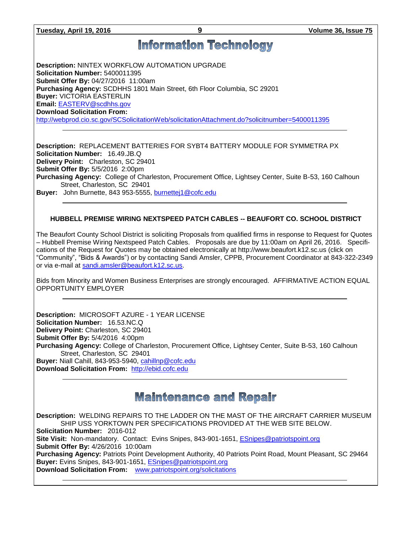## **Information Technology**

**Description:** NINTEX WORKFLOW AUTOMATION UPGRADE **Solicitation Number:** 5400011395 **Submit Offer By:** 04/27/2016 11:00am **Purchasing Agency:** SCDHHS 1801 Main Street, 6th Floor Columbia, SC 29201 **Buyer:** VICTORIA EASTERLIN **Email:** [EASTERV@scdhhs.gov](mailto:EASTERV@scdhhs.gov) **Download Solicitation From:**  <http://webprod.cio.sc.gov/SCSolicitationWeb/solicitationAttachment.do?solicitnumber=5400011395>

**Description:** REPLACEMENT BATTERIES FOR SYBT4 BATTERY MODULE FOR SYMMETRA PX **Solicitation Number:** 16.49.JB.Q **Delivery Point:** Charleston, SC 29401 **Submit Offer By:** 5/5/2016 2:00pm **Purchasing Agency:** College of Charleston, Procurement Office, Lightsey Center, Suite B-53, 160 Calhoun Street, Charleston, SC 29401 **Buyer:** John Burnette, 843 953-5555, [burnettej1@cofc.edu](mailto:burnettej1@cofc.edu)

#### **HUBBELL PREMISE WIRING NEXTSPEED PATCH CABLES -- BEAUFORT CO. SCHOOL DISTRICT**

The Beaufort County School District is soliciting Proposals from qualified firms in response to Request for Quotes – Hubbell Premise Wiring Nextspeed Patch Cables. Proposals are due by 11:00am on April 26, 2016. Specifications of the Request for Quotes may be obtained electronically at http://www.beaufort.k12.sc.us (click on "Community", "Bids & Awards") or by contacting Sandi Amsler, CPPB, Procurement Coordinator at 843-322-2349 or via e-mail at [sandi.amsler@beaufort.k12.sc.us.](mailto:sandi.amsler@beaufort.k12.sc.us)

Bids from Minority and Women Business Enterprises are strongly encouraged. AFFIRMATIVE ACTION EQUAL OPPORTUNITY EMPLOYER

**Description:** MICROSOFT AZURE - 1 YEAR LICENSE **Solicitation Number:** 16.53.NC.Q **Delivery Point:** Charleston, SC 29401 **Submit Offer By:** 5/4/2016 4:00pm **Purchasing Agency:** College of Charleston, Procurement Office, Lightsey Center, Suite B-53, 160 Calhoun Street, Charleston, SC 29401 **Buyer:** Niall Cahill, 843-953-5940, [cahillnp@cofc.edu](mailto:cahillnp@cofc.edu) **Download Solicitation From:** [http://ebid.cofc.edu](http://ebid.cofc.edu/)

## **Maintenance and Repair**

**Description:** WELDING REPAIRS TO THE LADDER ON THE MAST OF THE AIRCRAFT CARRIER MUSEUM SHIP USS YORKTOWN PER SPECIFICATIONS PROVIDED AT THE WEB SITE BELOW. **Solicitation Number:** 2016-012 **Site Visit:** Non-mandatory.Contact: Evins Snipes, 843-901-1651, [ESnipes@patriotspoint.org](mailto:ESnipes@patriotspoint.org) **Submit Offer By:** 4/26/2016 10:00am **Purchasing Agency:** Patriots Point Development Authority, 40 Patriots Point Road, Mount Pleasant, SC 29464 **Buyer:** Evins Snipes, 843-901-1651, [ESnipes@patriotspoint.org](mailto:ESnipes@patriotspoint.org) **Download Solicitation From:** [www.patriotspoint.org/solicitations](http://www.patriotspoint.org/solicitations)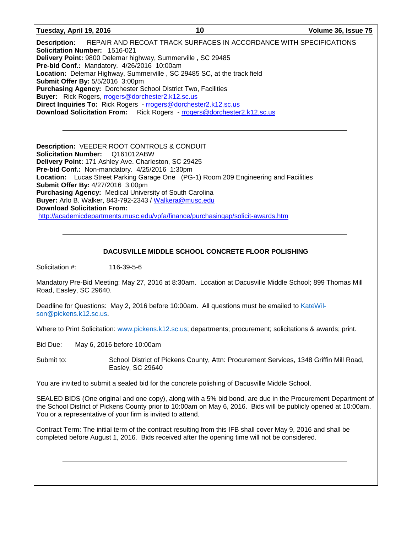**Tuesday, April 19, 2016 10 Volume 36, Issue 75**

**Description:** REPAIR AND RECOAT TRACK SURFACES IN ACCORDANCE WITH SPECIFICATIONS **Solicitation Number:** 1516-021 **Delivery Point:** 9800 Delemar highway, Summerville , SC 29485 **Pre-bid Conf.:** Mandatory. 4/26/2016 10:00am **Location:** Delemar Highway, Summerville , SC 29485 SC, at the track field **Submit Offer By:** 5/5/2016 3:00pm **Purchasing Agency:** Dorchester School District Two, Facilities **Buyer:** Rick Rogers, [rrogers@dorchester2.k12.sc.us](mailto:rrogers@dorchester2.k12.sc.us) **Direct Inquiries To:** Rick Rogers - [rrogers@dorchester2.k12.sc.us](mailto:rrogers@dorchester2.k12.sc.us) **Download Solicitation From:** Rick Rogers - [rrogers@dorchester2.k12.sc.us](mailto:rrogers@dorchester2.k12.sc.us)

**Description:** VEEDER ROOT CONTROLS & CONDUIT **Solicitation Number:** Q161012ABW **Delivery Point:** 171 Ashley Ave. Charleston, SC 29425 **Pre-bid Conf.:** Non-mandatory. 4/25/2016 1:30pm **Location:** Lucas Street Parking Garage One (PG-1) Room 209 Engineering and Facilities **Submit Offer By:** 4/27/2016 3:00pm **Purchasing Agency:** Medical University of South Carolina **Buyer:** Arlo B. Walker, 843-792-2343 / [Walkera@musc.edu](mailto:Walkera@musc.edu) **Download Solicitation From:** <http://academicdepartments.musc.edu/vpfa/finance/purchasingap/solicit-awards.htm>

#### **DACUSVILLE MIDDLE SCHOOL CONCRETE FLOOR POLISHING**

Solicitation #: 116-39-5-6

Mandatory Pre-Bid Meeting: May 27, 2016 at 8:30am. Location at Dacusville Middle School; 899 Thomas Mill Road, Easley, SC 29640.

Deadline for Questions: May 2, 2016 before 10:00am. All questions must be emailed to [KateWil](mailto:KateWilson@pickens.k12.sc.us)[son@pickens.k12.sc.us.](mailto:KateWilson@pickens.k12.sc.us)

Where to Print Solicitation: [www.pickens.k12.sc.us;](http://www.pickens.k12.sc.us/) departments; procurement; solicitations & awards; print.

Bid Due: May 6, 2016 before 10:00am

Submit to: School District of Pickens County, Attn: Procurement Services, 1348 Griffin Mill Road, Easley, SC 29640

You are invited to submit a sealed bid for the concrete polishing of Dacusville Middle School.

SEALED BIDS (One original and one copy), along with a 5% bid bond, are due in the Procurement Department of the School District of Pickens County prior to 10:00am on May 6, 2016. Bids will be publicly opened at 10:00am. You or a representative of your firm is invited to attend.

Contract Term: The initial term of the contract resulting from this IFB shall cover May 9, 2016 and shall be completed before August 1, 2016. Bids received after the opening time will not be considered.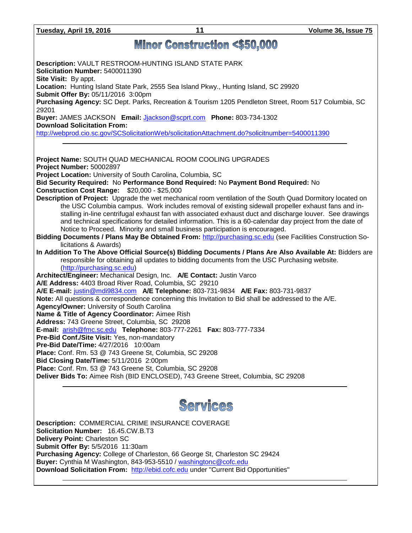**Tuesday, April 19, 2016 11 Volume 36, Issue 75**

## **Minor Construction <\$50,000**

**Description:** VAULT RESTROOM-HUNTING ISLAND STATE PARK **Solicitation Number:** 5400011390 **Site Visit:** By appt. **Location:** Hunting Island State Park, 2555 Sea Island Pkwy., Hunting Island, SC 29920 **Submit Offer By:** 05/11/2016 3:00pm **Purchasing Agency:** SC Dept. Parks, Recreation & Tourism 1205 Pendleton Street, Room 517 Columbia, SC 29201 **Buyer:** JAMES JACKSON **Email:** [Jjackson@scprt.com](mailto:Jjackson@scprt.com) **Phone:** 803-734-1302 **Download Solicitation From:**  <http://webprod.cio.sc.gov/SCSolicitationWeb/solicitationAttachment.do?solicitnumber=5400011390> **Project Name:** SOUTH QUAD MECHANICAL ROOM COOLING UPGRADES **Project Number:** 50002897 **Project Location:** University of South Carolina, Columbia, SC **Bid Security Required:** No **Performance Bond Required:** No **Payment Bond Required:** No **Construction Cost Range:** \$20,000 - \$25,000 **Description of Project:** Upgrade the wet mechanical room ventilation of the South Quad Dormitory located on the USC Columbia campus. Work includes removal of existing sidewall propeller exhaust fans and installing in-line centrifugal exhaust fan with associated exhaust duct and discharge louver. See drawings and technical specifications for detailed information. This is a 60-calendar day project from the date of Notice to Proceed. Minority and small business participation is encouraged. **Bidding Documents / Plans May Be Obtained From:** [http://purchasing.sc.edu](http://purchasing.sc.edu/) (see Facilities Construction Solicitations & Awards) **In Addition To The Above Official Source(s) Bidding Documents / Plans Are Also Available At:** Bidders are responsible for obtaining all updates to bidding documents from the USC Purchasing website. [\(http://purchasing.sc.edu\)](http://purchasing.sc.edu/) **Architect/Engineer:** Mechanical Design, Inc. **A/E Contact:** Justin Varco **A/E Address:** 4403 Broad River Road, Columbia, SC 29210 **A/E E-mail:** [justin@mdi9834.com](mailto:justin@mdi9834.com) **A/E Telephone:** 803-731-9834 **A/E Fax:** 803-731-9837 **Note:** All questions & correspondence concerning this Invitation to Bid shall be addressed to the A/E. **Agency/Owner:** University of South Carolina **Name & Title of Agency Coordinator:** Aimee Rish **Address:** 743 Greene Street, Columbia, SC 29208 **E-mail:** [arish@fmc.sc.edu](mailto:arish@fmc.sc.edu) **Telephone:** 803-777-2261 **Fax:** 803-777-7334 **Pre-Bid Conf./Site Visit:** Yes, non-mandatory **Pre-Bid Date/Time:** 4/27/2016 10:00am **Place:** Conf. Rm. 53 @ 743 Greene St, Columbia, SC 29208 **Bid Closing Date/Time:** 5/11/2016 2:00pm **Place:** Conf. Rm. 53 @ 743 Greene St, Columbia, SC 29208 **Deliver Bids To:** Aimee Rish (BID ENCLOSED), 743 Greene Street, Columbia, SC 29208



**Description:** COMMERCIAL CRIME INSURANCE COVERAGE **Solicitation Number:** 16.45.CW.B.T3 **Delivery Point:** Charleston SC **Submit Offer By:** 5/5/2016 11:30am **Purchasing Agency:** College of Charleston, 66 George St, Charleston SC 29424 **Buyer:** Cynthia M Washington, 843-953-5510 / [washingtonc@cofc.edu](mailto:washingtonc@cofc.edu) **Download Solicitation From:** [http://ebid.cofc.edu](http://ebid.cofc.edu/) under "Current Bid Opportunities"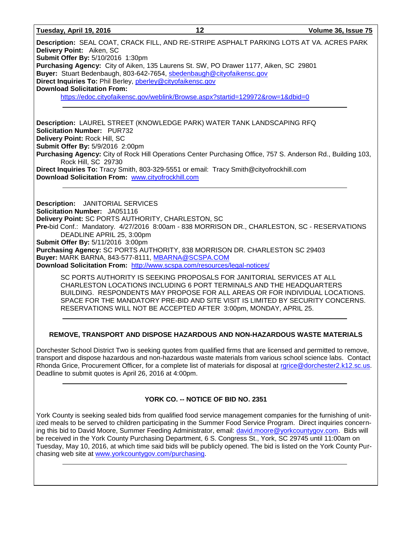| Tuesday, April 19, 2016 |  |  |
|-------------------------|--|--|
|-------------------------|--|--|

**Description:** SEAL COAT, CRACK FILL, AND RE-STRIPE ASPHALT PARKING LOTS AT VA. ACRES PARK **Delivery Point:** Aiken, SC **Submit Offer By:** 5/10/2016 1:30pm **Purchasing Agency:** City of Aiken, 135 Laurens St. SW, PO Drawer 1177, Aiken, SC 29801 **Buyer:** Stuart Bedenbaugh, 803-642-7654, [sbedenbaugh@cityofaikensc.gov](mailto:sbedenbaugh@cityofaikensc.gov) **Direct Inquiries To:** Phil Berley, [pberley@cityofaikensc.gov](mailto:pberley@cityofaikensc.gov) **Download Solicitation From:** <https://edoc.cityofaikensc.gov/weblink/Browse.aspx?startid=129972&row=1&dbid=0>

**Description:** LAUREL STREET (KNOWLEDGE PARK) WATER TANK LANDSCAPING RFQ **Solicitation Number:** PUR732 **Delivery Point:** Rock Hill, SC **Submit Offer By:** 5/9/2016 2:00pm **Purchasing Agency:** City of Rock Hill Operations Center Purchasing Office, 757 S. Anderson Rd., Building 103, Rock Hill, SC 29730 **Direct Inquiries To:** Tracy Smith, 803-329-5551 or email: Tracy Smith@cityofrockhill.com **Download Solicitation From:** [www.cityofrockhill.com](http://www.cityofrockhill.com/)

**Description:** JANITORIAL SERVICES **Solicitation Number:** JA051116 **Delivery Point:** SC PORTS AUTHORITY, CHARLESTON, SC **Pre-**bid Conf.: Mandatory. 4/27/2016 8:00am - 838 MORRISON DR., CHARLESTON, SC - RESERVATIONS DEADLINE APRIL 25, 3:00pm **Submit Offer By:** 5/11/2016 3:00pm **Purchasing Agency:** SC PORTS AUTHORITY, 838 MORRISON DR. CHARLESTON SC 29403 **Buyer:** MARK BARNA, 843-577-8111, [MBARNA@SCSPA.COM](mailto:MBARNA@SCSPA.COM) **Download Solicitation From:** <http://www.scspa.com/resources/legal-notices/>

SC PORTS AUTHORITY IS SEEKING PROPOSALS FOR JANITORIAL SERVICES AT ALL CHARLESTON LOCATIONS INCLUDING 6 PORT TERMINALS AND THE HEADQUARTERS BUILDING. RESPONDENTS MAY PROPOSE FOR ALL AREAS OR FOR INDIVIDUAL LOCATIONS. SPACE FOR THE MANDATORY PRE-BID AND SITE VISIT IS LIMITED BY SECURITY CONCERNS. RESERVATIONS WILL NOT BE ACCEPTED AFTER 3:00pm, MONDAY, APRIL 25.

#### **REMOVE, TRANSPORT AND DISPOSE HAZARDOUS AND NON-HAZARDOUS WASTE MATERIALS**

Dorchester School District Two is seeking quotes from qualified firms that are licensed and permitted to remove, transport and dispose hazardous and non-hazardous waste materials from various school science labs. Contact Rhonda Grice, Procurement Officer, for a complete list of materials for disposal at [rgrice@dorchester2.k12.sc.us.](mailto:rgrice@dorchester2.k12.sc.us) Deadline to submit quotes is April 26, 2016 at 4:00pm.

#### **YORK CO. -- NOTICE OF BID NO. 2351**

York County is seeking sealed bids from qualified food service management companies for the furnishing of unitized meals to be served to children participating in the Summer Food Service Program. Direct inquiries concerning this bid to David Moore, Summer Feeding Administrator, email: [david.moore@yorkcountygov.com.](mailto:david.moore@yorkcountygov.com) Bids will be received in the York County Purchasing Department, 6 S. Congress St., York, SC 29745 until 11:00am on Tuesday, May 10, 2016, at which time said bids will be publicly opened. The bid is listed on the York County Purchasing web site at [www.yorkcountygov.com/purchasing.](http://www.yorkcountygov.com/purchasing)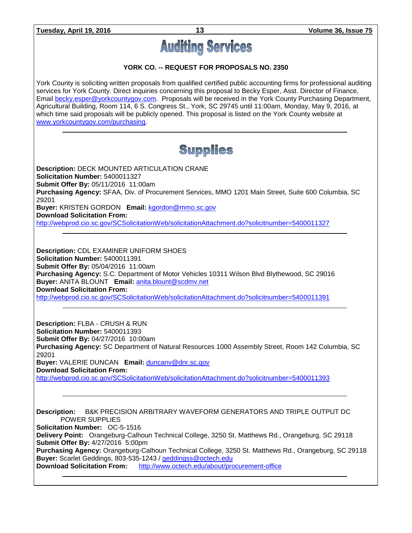# **Auditing Services**

#### **YORK CO. -- REQUEST FOR PROPOSALS NO. 2350**

York County is soliciting written proposals from qualified certified public accounting firms for professional auditing services for York County. Direct inquiries concerning this proposal to Becky Esper, Asst. Director of Finance, Email [becky.esper@yorkcountygov.com.](mailto:becky.esper@yorkcountygov.com) Proposals will be received in the York County Purchasing Department, Agricultural Building, Room 114, 6 S. Congress St., York, SC 29745 until 11:00am, Monday, May 9, 2016, at which time said proposals will be publicly opened. This proposal is listed on the York County website at [www.yorkcountygov.com/purchasing.](http://www.yorkcountygov.com/purchasing)

## **Supplies**

**Description:** DECK MOUNTED ARTICULATION CRANE **Solicitation Number:** 5400011327 **Submit Offer By:** 05/11/2016 11:00am **Purchasing Agency:** SFAA, Div. of Procurement Services, MMO 1201 Main Street, Suite 600 Columbia, SC 29201 **Buyer:** KRISTEN GORDON **Email:** [kgordon@mmo.sc.gov](mailto:kgordon@mmo.sc.gov) **Download Solicitation From:** 

<http://webprod.cio.sc.gov/SCSolicitationWeb/solicitationAttachment.do?solicitnumber=5400011327>

**Description:** CDL EXAMINER UNIFORM SHOES **Solicitation Number:** 5400011391 **Submit Offer By:** 05/04/2016 11:00am **Purchasing Agency:** S.C. Department of Motor Vehicles 10311 Wilson Blvd Blythewood, SC 29016 **Buyer:** ANITA BLOUNT **Email:** [anita.blount@scdmv.net](mailto:anita.blount@scdmv.net) **Download Solicitation From:**  <http://webprod.cio.sc.gov/SCSolicitationWeb/solicitationAttachment.do?solicitnumber=5400011391>

**Description:** FLBA - CRUSH & RUN **Solicitation Number:** 5400011393 **Submit Offer By:** 04/27/2016 10:00am **Purchasing Agency:** SC Department of Natural Resources 1000 Assembly Street, Room 142 Columbia, SC 29201 **Buyer:** VALERIE DUNCAN **Email:** [duncanv@dnr.sc.gov](mailto:duncanv@dnr.sc.gov) **Download Solicitation From:**  <http://webprod.cio.sc.gov/SCSolicitationWeb/solicitationAttachment.do?solicitnumber=5400011393>

**Description:** B&K PRECISION ARBITRARY WAVEFORM GENERATORS AND TRIPLE OUTPUT DC POWER SUPPLIES **Solicitation Number:** OC-5-1516 **Delivery Point:** Orangeburg-Calhoun Technical College, 3250 St. Matthews Rd., Orangeburg, SC 29118 **Submit Offer By:** 4/27/2016 5:00pm **Purchasing Agency:** Orangeburg-Calhoun Technical College, 3250 St. Matthews Rd., Orangeburg, SC 29118 **Buyer:** Scarlet Geddings, 803-535-1243 / *[geddingss@octech.edu](mailto:geddingss@octech.edu)*<br>**Download Solicitation From:** http://www.octech.edu/about/pro <http://www.octech.edu/about/procurement-office>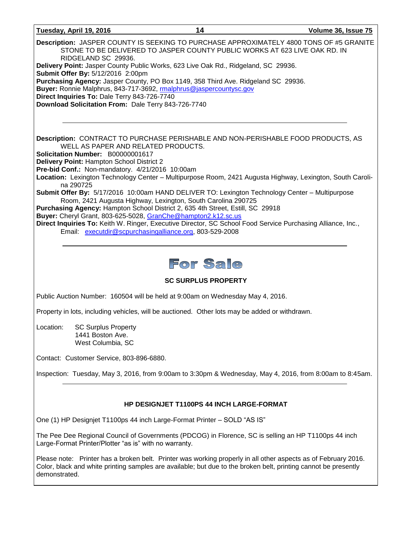| Tuesday, April 19, 2016                                                                                                                                                      | 14                                                                         | Volume 36, Issue 75                                                                                       |
|------------------------------------------------------------------------------------------------------------------------------------------------------------------------------|----------------------------------------------------------------------------|-----------------------------------------------------------------------------------------------------------|
| RIDGELAND SC 29936.<br>Delivery Point: Jasper County Public Works, 623 Live Oak Rd., Ridgeland, SC 29936.                                                                    | STONE TO BE DELIVERED TO JASPER COUNTY PUBLIC WORKS AT 623 LIVE OAK RD. IN | Description: JASPER COUNTY IS SEEKING TO PURCHASE APPROXIMATELY 4800 TONS OF #5 GRANITE                   |
| Submit Offer By: 5/12/2016 2:00pm                                                                                                                                            |                                                                            |                                                                                                           |
| Purchasing Agency: Jasper County, PO Box 1149, 358 Third Ave. Ridgeland SC 29936.<br>Buyer: Ronnie Malphrus, 843-717-3692, malphrus@jaspercountysc.gov                       |                                                                            |                                                                                                           |
| Direct Inquiries To: Dale Terry 843-726-7740                                                                                                                                 |                                                                            |                                                                                                           |
| Download Solicitation From: Dale Terry 843-726-7740                                                                                                                          |                                                                            |                                                                                                           |
|                                                                                                                                                                              |                                                                            |                                                                                                           |
|                                                                                                                                                                              |                                                                            |                                                                                                           |
| Description: CONTRACT TO PURCHASE PERISHABLE AND NON-PERISHABLE FOOD PRODUCTS, AS<br>WELL AS PAPER AND RELATED PRODUCTS.                                                     |                                                                            |                                                                                                           |
| Solicitation Number: B00000001617                                                                                                                                            |                                                                            |                                                                                                           |
| Delivery Point: Hampton School District 2<br>Pre-bid Conf.: Non-mandatory. 4/21/2016 10:00am                                                                                 |                                                                            |                                                                                                           |
| na 290725                                                                                                                                                                    |                                                                            | Location: Lexington Technology Center - Multipurpose Room, 2421 Augusta Highway, Lexington, South Caroli- |
| Submit Offer By: 5/17/2016 10:00am HAND DELIVER TO: Lexington Technology Center - Multipurpose                                                                               | Room, 2421 Augusta Highway, Lexington, South Carolina 290725               |                                                                                                           |
| Purchasing Agency: Hampton School District 2, 635 4th Street, Estill, SC 29918                                                                                               |                                                                            |                                                                                                           |
| Buyer: Cheryl Grant, 803-625-5028, GranChe@hampton2.k12.sc.us<br>Direct Inquiries To: Keith W. Ringer, Executive Director, SC School Food Service Purchasing Alliance, Inc., |                                                                            |                                                                                                           |
| Email: executdir@scpurchasingalliance.org, 803-529-2008                                                                                                                      |                                                                            |                                                                                                           |
|                                                                                                                                                                              |                                                                            |                                                                                                           |
|                                                                                                                                                                              |                                                                            |                                                                                                           |
|                                                                                                                                                                              | For Sale                                                                   |                                                                                                           |

#### **SC SURPLUS PROPERTY**

Public Auction Number: 160504 will be held at 9:00am on Wednesday May 4, 2016.

Property in lots, including vehicles, will be auctioned. Other lots may be added or withdrawn.

Location: SC Surplus Property 1441 Boston Ave. West Columbia, SC

Contact: Customer Service, 803-896-6880.

Inspection: Tuesday, May 3, 2016, from 9:00am to 3:30pm & Wednesday, May 4, 2016, from 8:00am to 8:45am.

#### **HP DESIGNJET T1100PS 44 INCH LARGE-FORMAT**

One (1) HP Designjet T1100ps 44 inch Large-Format Printer – SOLD "AS IS"

The Pee Dee Regional Council of Governments (PDCOG) in Florence, SC is selling an HP T1100ps 44 inch Large-Format Printer/Plotter "as is" with no warranty.

Please note: Printer has a broken belt. Printer was working properly in all other aspects as of February 2016. Color, black and white printing samples are available; but due to the broken belt, printing cannot be presently demonstrated.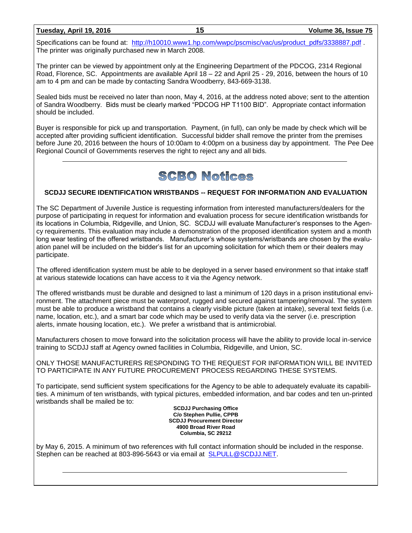#### **Tuesday, April 19, 2016 15 Volume 36, Issue 75**

Specifications can be found at: [http://h10010.www1.hp.com/wwpc/pscmisc/vac/us/product\\_pdfs/3338887.pdf](http://h10010.www1.hp.com/wwpc/pscmisc/vac/us/product_pdfs/3338887.pdf) The printer was originally purchased new in March 2008.

The printer can be viewed by appointment only at the Engineering Department of the PDCOG, 2314 Regional Road, Florence, SC. Appointments are available April 18 – 22 and April 25 - 29, 2016, between the hours of 10 am to 4 pm and can be made by contacting Sandra Woodberry, 843-669-3138.

Sealed bids must be received no later than noon, May 4, 2016, at the address noted above; sent to the attention of Sandra Woodberry. Bids must be clearly marked "PDCOG HP T1100 BID". Appropriate contact information should be included.

Buyer is responsible for pick up and transportation. Payment, (in full), can only be made by check which will be accepted after providing sufficient identification. Successful bidder shall remove the printer from the premises before June 20, 2016 between the hours of 10:00am to 4:00pm on a business day by appointment. The Pee Dee Regional Council of Governments reserves the right to reject any and all bids.

## **SCBO Notices**

#### **SCDJJ SECURE IDENTIFICATION WRISTBANDS -- REQUEST FOR INFORMATION AND EVALUATION**

The SC Department of Juvenile Justice is requesting information from interested manufacturers/dealers for the purpose of participating in request for information and evaluation process for secure identification wristbands for its locations in Columbia, Ridgeville, and Union, SC. SCDJJ will evaluate Manufacturer's responses to the Agency requirements. This evaluation may include a demonstration of the proposed identification system and a month long wear testing of the offered wristbands. Manufacturer's whose systems/wristbands are chosen by the evaluation panel will be included on the bidder's list for an upcoming solicitation for which them or their dealers may participate.

The offered identification system must be able to be deployed in a server based environment so that intake staff at various statewide locations can have access to it via the Agency network.

The offered wristbands must be durable and designed to last a minimum of 120 days in a prison institutional environment. The attachment piece must be waterproof, rugged and secured against tampering/removal. The system must be able to produce a wristband that contains a clearly visible picture (taken at intake), several text fields (i.e. name, location, etc.), and a smart bar code which may be used to verify data via the server (i.e. prescription alerts, inmate housing location, etc.). We prefer a wristband that is antimicrobial.

Manufacturers chosen to move forward into the solicitation process will have the ability to provide local in-service training to SCDJJ staff at Agency owned facilities in Columbia, Ridgeville, and Union, SC.

ONLY THOSE MANUFACTURERS RESPONDING TO THE REQUEST FOR INFORMATION WILL BE INVITED TO PARTICIPATE IN ANY FUTURE PROCUREMENT PROCESS REGARDING THESE SYSTEMS.

To participate, send sufficient system specifications for the Agency to be able to adequately evaluate its capabilities. A minimum of ten wristbands, with typical pictures, embedded information, and bar codes and ten un-printed wristbands shall be mailed be to:

**SCDJJ Purchasing Office C/o Stephen Pullie, CPPB SCDJJ Procurement Director 4900 Broad River Road Columbia, SC 29212**

by May 6, 2015. A minimum of two references with full contact information should be included in the response. Stephen can be reached at 803-896-5643 or via email at [SLPULL@SCDJJ.NET.](mailto:SLPULL@SCDJJ.NET)